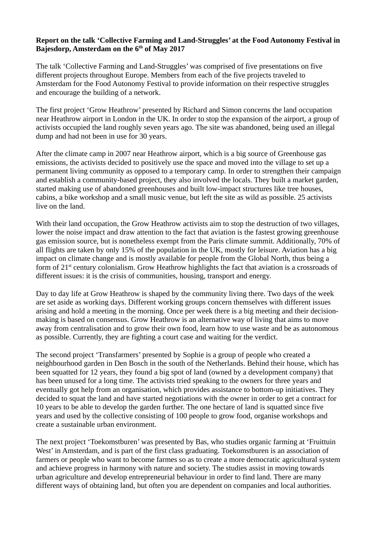## **Report on the talk 'Collective Farming and Land-Struggles' at the Food Autonomy Festival in Bajesdorp, Amsterdam on the 6th of May 2017**

The talk 'Collective Farming and Land-Struggles' was comprised of five presentations on five different projects throughout Europe. Members from each of the five projects traveled to Amsterdam for the Food Autonomy Festival to provide information on their respective struggles and encourage the building of a network.

The first project 'Grow Heathrow' presented by Richard and Simon concerns the land occupation near Heathrow airport in London in the UK. In order to stop the expansion of the airport, a group of activists occupied the land roughly seven years ago. The site was abandoned, being used an illegal dump and had not been in use for 30 years.

After the climate camp in 2007 near Heathrow airport, which is a big source of Greenhouse gas emissions, the activists decided to positively use the space and moved into the village to set up a permanent living community as opposed to a temporary camp. In order to strengthen their campaign and establish a community-based project, they also involved the locals. They built a market garden, started making use of abandoned greenhouses and built low-impact structures like tree houses, cabins, a bike workshop and a small music venue, but left the site as wild as possible. 25 activists live on the land.

With their land occupation, the Grow Heathrow activists aim to stop the destruction of two villages, lower the noise impact and draw attention to the fact that aviation is the fastest growing greenhouse gas emission source, but is nonetheless exempt from the Paris climate summit. Additionally, 70% of all flights are taken by only 15% of the population in the UK, mostly for leisure. Aviation has a big impact on climate change and is mostly available for people from the Global North, thus being a form of 21<sup>st</sup> century colonialism. Grow Heathrow highlights the fact that aviation is a crossroads of different issues: it is the crisis of communities, housing, transport and energy.

Day to day life at Grow Heathrow is shaped by the community living there. Two days of the week are set aside as working days. Different working groups concern themselves with different issues arising and hold a meeting in the morning. Once per week there is a big meeting and their decisionmaking is based on consensus. Grow Heathrow is an alternative way of living that aims to move away from centralisation and to grow their own food, learn how to use waste and be as autonomous as possible. Currently, they are fighting a court case and waiting for the verdict.

The second project 'Transfarmers' presented by Sophie is a group of people who created a neighbourhood garden in Den Bosch in the south of the Netherlands. Behind their house, which has been squatted for 12 years, they found a big spot of land (owned by a development company) that has been unused for a long time. The activists tried speaking to the owners for three years and eventually got help from an organisation, which provides assistance to bottom-up initiatives. They decided to squat the land and have started negotiations with the owner in order to get a contract for 10 years to be able to develop the garden further. The one hectare of land is squatted since five years and used by the collective consisting of 100 people to grow food, organise workshops and create a sustainable urban environment.

The next project 'Toekomstburen' was presented by Bas, who studies organic farming at 'Fruittuin West' in Amsterdam, and is part of the first class graduating. Toekomstburen is an association of farmers or people who want to become farmes so as to create a more democratic agricultural system and achieve progress in harmony with nature and society. The studies assist in moving towards urban agriculture and develop entrepreneurial behaviour in order to find land. There are many different ways of obtaining land, but often you are dependent on companies and local authorities.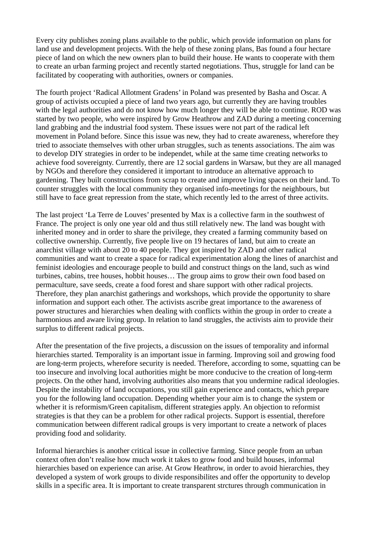Every city publishes zoning plans available to the public, which provide information on plans for land use and development projects. With the help of these zoning plans, Bas found a four hectare piece of land on which the new owners plan to build their house. He wants to cooperate with them to create an urban farming project and recently started negotiations. Thus, struggle for land can be facilitated by cooperating with authorities, owners or companies.

The fourth project 'Radical Allotment Gradens' in Poland was presented by Basha and Oscar. A group of activists occupied a piece of land two years ago, but currently they are having troubles with the legal authorities and do not know how much longer they will be able to continue. ROD was started by two people, who were inspired by Grow Heathrow and ZAD during a meeting concerning land grabbing and the industrial food system. These issues were not part of the radical left movement in Poland before. Since this issue was new, they had to create awareness, wherefore they tried to associate themselves with other urban struggles, such as tenents associations. The aim was to develop DIY strategies in order to be independet, while at the same time creating networks to achieve food sovereignty. Currently, there are 12 social gardens in Warsaw, but they are all managed by NGOs and therefore they considered it important to introduce an alternative approach to gardening. They built constructions from scrap to create and improve living spaces on their land. To counter struggles with the local community they organised info-meetings for the neighbours, but still have to face great repression from the state, which recently led to the arrest of three activits.

The last project 'La Terre de Louves' presented by Max is a collective farm in the southwest of France. The project is only one year old and thus still relatively new. The land was bought with inherited money and in order to share the privilege, they created a farming community based on collective ownership. Currently, five people live on 19 hectares of land, but aim to create an anarchist village with about 20 to 40 people. They got inspired by ZAD and other radical communities and want to create a space for radical experimentation along the lines of anarchist and feminist ideologies and encourage people to build and construct things on the land, such as wind turbines, cabins, tree houses, hobbit houses… The group aims to grow their own food based on permaculture, save seeds, create a food forest and share support with other radical projects. Therefore, they plan anarchist gatherings and workshops, which provide the opportunity to share information and support each other. The activists ascribe great importance to the awareness of power structures and hierarchies when dealing with conflicts within the group in order to create a harmonious and aware living group. In relation to land struggles, the activists aim to provide their surplus to different radical projects.

After the presentation of the five projects, a discussion on the issues of temporality and informal hierarchies started. Temporality is an important issue in farming. Improving soil and growing food are long-term projects, wherefore security is needed. Therefore, according to some, squatting can be too insecure and involving local authorities might be more conducive to the creation of long-term projects. On the other hand, involving authorities also means that you undermine radical ideologies. Despite the instability of land occupations, you still gain experience and contacts, which prepare you for the following land occupation. Depending whether your aim is to change the system or whether it is reformism/Green capitalism, different strategies apply. An objection to reformist strategies is that they can be a problem for other radical projects. Support is essential, therefore communication between different radical groups is very important to create a network of places providing food and solidarity.

Informal hierarchies is another critical issue in collective farming. Since people from an urban context often don't realise how much work it takes to grow food and build houses, informal hierarchies based on experience can arise. At Grow Heathrow, in order to avoid hierarchies, they developed a system of work groups to divide responsibilites and offer the opportunity to develop skills in a specific area. It is important to create transparent strctures through communication in